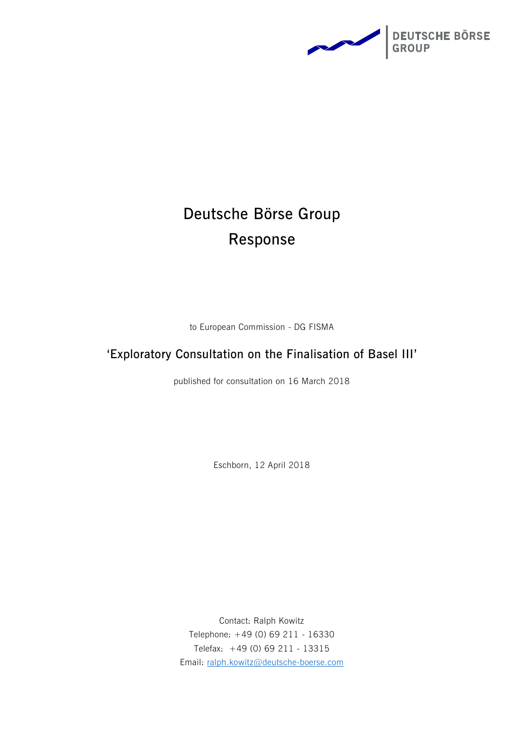

# **Deutsche Börse Group Response**

to European Commission - DG FISMA

# **'Exploratory Consultation on the Finalisation of Basel III'**

published for consultation on 16 March 2018

Eschborn, 12 April 2018

Contact: Ralph Kowitz Telephone: +49 (0) 69 211 - 16330 Telefax: +49 (0) 69 211 - 13315 Email: [ralph.kowitz@deutsche-boerse.com](mailto:ralph.kowitz@deutsche-boerse.com)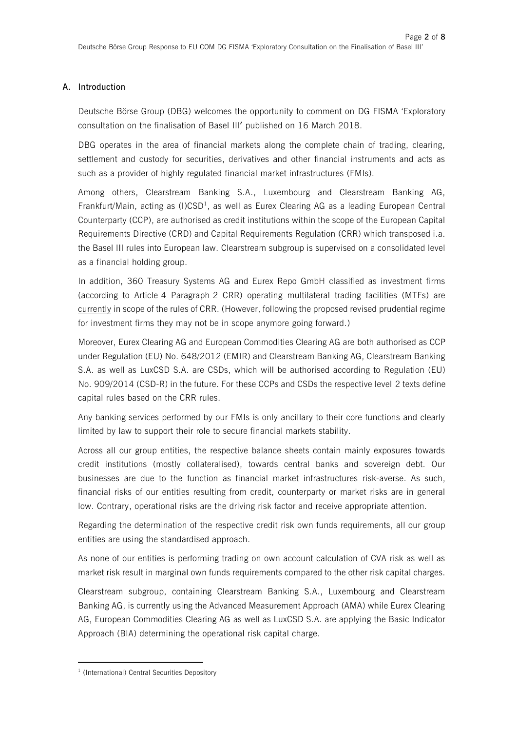# **A. Introduction**

Deutsche Börse Group (DBG) welcomes the opportunity to comment on DG FISMA 'Exploratory consultation on the finalisation of Basel III' published on 16 March 2018.

DBG operates in the area of financial markets along the complete chain of trading, clearing, settlement and custody for securities, derivatives and other financial instruments and acts as such as a provider of highly regulated financial market infrastructures (FMIs).

Among others, Clearstream Banking S.A., Luxembourg and Clearstream Banking AG, Frankfurt/Main, acting as (I)CSD<sup>1</sup>, as well as Eurex Clearing AG as a leading European Central Counterparty (CCP), are authorised as credit institutions within the scope of the European Capital Requirements Directive (CRD) and Capital Requirements Regulation (CRR) which transposed i.a. the Basel III rules into European law. Clearstream subgroup is supervised on a consolidated level as a financial holding group.

In addition, 360 Treasury Systems AG and Eurex Repo GmbH classified as investment firms (according to Article 4 Paragraph 2 CRR) operating multilateral trading facilities (MTFs) are currently in scope of the rules of CRR. (However, following the proposed revised prudential regime for investment firms they may not be in scope anymore going forward.)

Moreover, Eurex Clearing AG and European Commodities Clearing AG are both authorised as CCP under Regulation (EU) No. 648/2012 (EMIR) and Clearstream Banking AG, Clearstream Banking S.A. as well as LuxCSD S.A. are CSDs, which will be authorised according to Regulation (EU) No. 909/2014 (CSD-R) in the future. For these CCPs and CSDs the respective level 2 texts define capital rules based on the CRR rules.

Any banking services performed by our FMIs is only ancillary to their core functions and clearly limited by law to support their role to secure financial markets stability.

Across all our group entities, the respective balance sheets contain mainly exposures towards credit institutions (mostly collateralised), towards central banks and sovereign debt. Our businesses are due to the function as financial market infrastructures risk-averse. As such, financial risks of our entities resulting from credit, counterparty or market risks are in general low. Contrary, operational risks are the driving risk factor and receive appropriate attention.

Regarding the determination of the respective credit risk own funds requirements, all our group entities are using the standardised approach.

As none of our entities is performing trading on own account calculation of CVA risk as well as market risk result in marginal own funds requirements compared to the other risk capital charges.

Clearstream subgroup, containing Clearstream Banking S.A., Luxembourg and Clearstream Banking AG, is currently using the Advanced Measurement Approach (AMA) while Eurex Clearing AG, European Commodities Clearing AG as well as LuxCSD S.A. are applying the Basic Indicator Approach (BIA) determining the operational risk capital charge.

 $\overline{a}$ 

<sup>&</sup>lt;sup>1</sup> (International) Central Securities Depository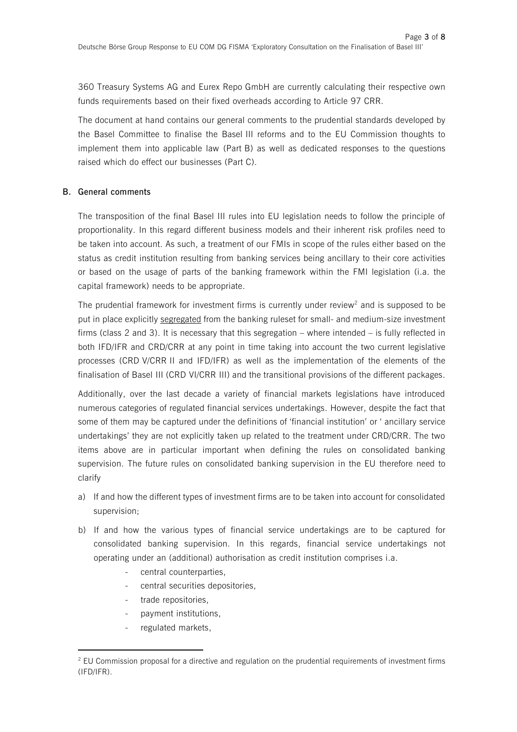360 Treasury Systems AG and Eurex Repo GmbH are currently calculating their respective own funds requirements based on their fixed overheads according to Article 97 CRR.

The document at hand contains our general comments to the prudential standards developed by the Basel Committee to finalise the Basel III reforms and to the EU Commission thoughts to implement them into applicable law (Part B) as well as dedicated responses to the questions raised which do effect our businesses (Part C).

## **B. General comments**

The transposition of the final Basel III rules into EU legislation needs to follow the principle of proportionality. In this regard different business models and their inherent risk profiles need to be taken into account. As such, a treatment of our FMIs in scope of the rules either based on the status as credit institution resulting from banking services being ancillary to their core activities or based on the usage of parts of the banking framework within the FMI legislation (i.a. the capital framework) needs to be appropriate.

The prudential framework for investment firms is currently under review<sup>2</sup> and is supposed to be put in place explicitly segregated from the banking ruleset for small- and medium-size investment firms (class 2 and 3). It is necessary that this segregation – where intended – is fully reflected in both IFD/IFR and CRD/CRR at any point in time taking into account the two current legislative processes (CRD V/CRR II and IFD/IFR) as well as the implementation of the elements of the finalisation of Basel III (CRD VI/CRR III) and the transitional provisions of the different packages.

Additionally, over the last decade a variety of financial markets legislations have introduced numerous categories of regulated financial services undertakings. However, despite the fact that some of them may be captured under the definitions of 'financial institution' or ' ancillary service undertakings' they are not explicitly taken up related to the treatment under CRD/CRR. The two items above are in particular important when defining the rules on consolidated banking supervision. The future rules on consolidated banking supervision in the EU therefore need to clarify

- a) If and how the different types of investment firms are to be taken into account for consolidated supervision;
- b) If and how the various types of financial service undertakings are to be captured for consolidated banking supervision. In this regards, financial service undertakings not operating under an (additional) authorisation as credit institution comprises i.a.
	- central counterparties,
	- central securities depositories.
	- trade repositories,
	- payment institutions,
	- regulated markets,

 $\overline{a}$ 

 $2$  EU Commission proposal for a directive and regulation on the prudential requirements of investment firms (IFD/IFR).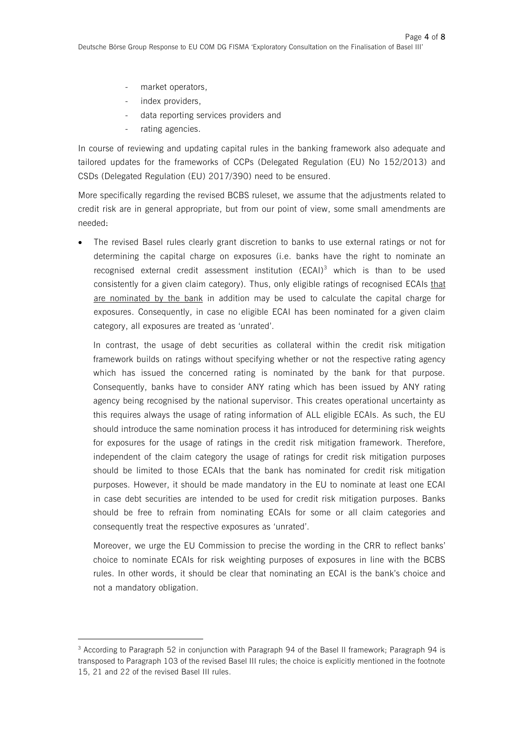- market operators,
- index providers,
- data reporting services providers and
- rating agencies.

 $\overline{a}$ 

In course of reviewing and updating capital rules in the banking framework also adequate and tailored updates for the frameworks of CCPs (Delegated Regulation (EU) No 152/2013) and CSDs (Delegated Regulation (EU) 2017/390) need to be ensured.

More specifically regarding the revised BCBS ruleset, we assume that the adjustments related to credit risk are in general appropriate, but from our point of view, some small amendments are needed:

 The revised Basel rules clearly grant discretion to banks to use external ratings or not for determining the capital charge on exposures (i.e. banks have the right to nominate an recognised external credit assessment institution  $(ECAI)^3$  which is than to be used consistently for a given claim category). Thus, only eligible ratings of recognised ECAIs that are nominated by the bank in addition may be used to calculate the capital charge for exposures. Consequently, in case no eligible ECAI has been nominated for a given claim category, all exposures are treated as 'unrated'.

In contrast, the usage of debt securities as collateral within the credit risk mitigation framework builds on ratings without specifying whether or not the respective rating agency which has issued the concerned rating is nominated by the bank for that purpose. Consequently, banks have to consider ANY rating which has been issued by ANY rating agency being recognised by the national supervisor. This creates operational uncertainty as this requires always the usage of rating information of ALL eligible ECAIs. As such, the EU should introduce the same nomination process it has introduced for determining risk weights for exposures for the usage of ratings in the credit risk mitigation framework. Therefore, independent of the claim category the usage of ratings for credit risk mitigation purposes should be limited to those ECAIs that the bank has nominated for credit risk mitigation purposes. However, it should be made mandatory in the EU to nominate at least one ECAI in case debt securities are intended to be used for credit risk mitigation purposes. Banks should be free to refrain from nominating ECAIs for some or all claim categories and consequently treat the respective exposures as 'unrated'.

Moreover, we urge the EU Commission to precise the wording in the CRR to reflect banks' choice to nominate ECAIs for risk weighting purposes of exposures in line with the BCBS rules. In other words, it should be clear that nominating an ECAI is the bank's choice and not a mandatory obligation.

<sup>3</sup> According to Paragraph 52 in conjunction with Paragraph 94 of the Basel II framework; Paragraph 94 is transposed to Paragraph 103 of the revised Basel III rules; the choice is explicitly mentioned in the footnote 15, 21 and 22 of the revised Basel III rules.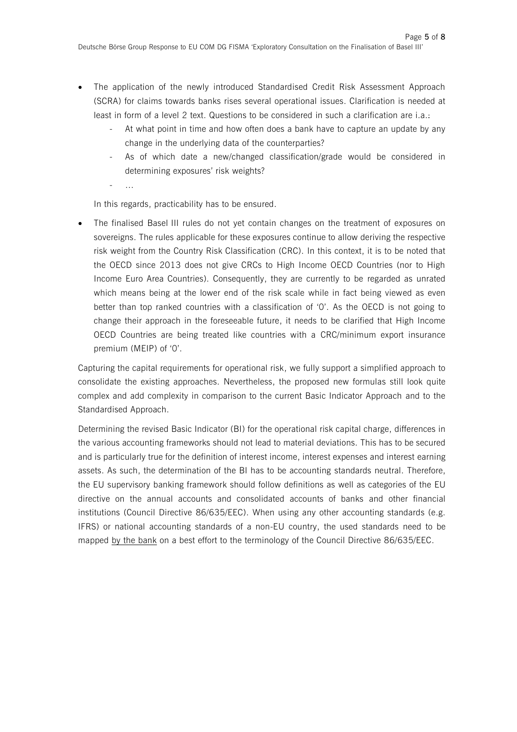- The application of the newly introduced Standardised Credit Risk Assessment Approach (SCRA) for claims towards banks rises several operational issues. Clarification is needed at least in form of a level 2 text. Questions to be considered in such a clarification are i.a.:
	- At what point in time and how often does a bank have to capture an update by any change in the underlying data of the counterparties?
	- As of which date a new/changed classification/grade would be considered in determining exposures' risk weights?
	- …

In this regards, practicability has to be ensured.

 The finalised Basel III rules do not yet contain changes on the treatment of exposures on sovereigns. The rules applicable for these exposures continue to allow deriving the respective risk weight from the Country Risk Classification (CRC). In this context, it is to be noted that the OECD since 2013 does not give CRCs to High Income OECD Countries (nor to High Income Euro Area Countries). Consequently, they are currently to be regarded as unrated which means being at the lower end of the risk scale while in fact being viewed as even better than top ranked countries with a classification of '0'. As the OECD is not going to change their approach in the foreseeable future, it needs to be clarified that High Income OECD Countries are being treated like countries with a CRC/minimum export insurance premium (MEIP) of '0'.

Capturing the capital requirements for operational risk, we fully support a simplified approach to consolidate the existing approaches. Nevertheless, the proposed new formulas still look quite complex and add complexity in comparison to the current Basic Indicator Approach and to the Standardised Approach.

Determining the revised Basic Indicator (BI) for the operational risk capital charge, differences in the various accounting frameworks should not lead to material deviations. This has to be secured and is particularly true for the definition of interest income, interest expenses and interest earning assets. As such, the determination of the BI has to be accounting standards neutral. Therefore, the EU supervisory banking framework should follow definitions as well as categories of the EU directive on the annual accounts and consolidated accounts of banks and other financial institutions (Council Directive 86/635/EEC). When using any other accounting standards (e.g. IFRS) or national accounting standards of a non-EU country, the used standards need to be mapped by the bank on a best effort to the terminology of the Council Directive 86/635/EEC.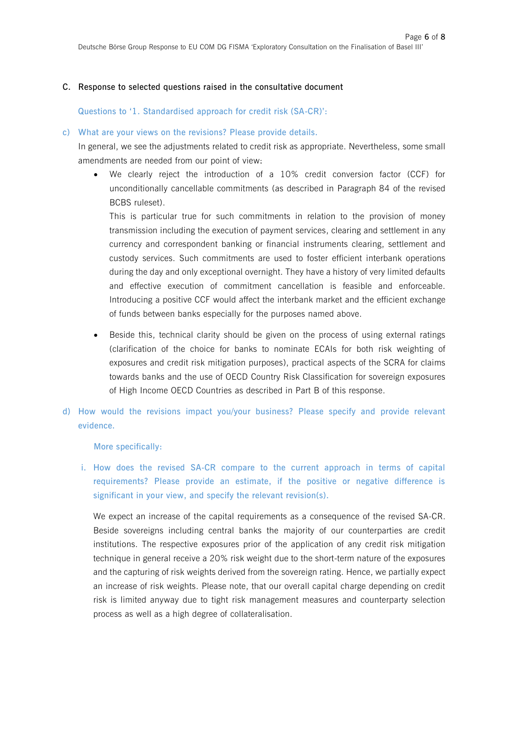#### **C. Response to selected questions raised in the consultative document**

**Questions to '1. Standardised approach for credit risk (SA-CR)':**

#### **c) What are your views on the revisions? Please provide details.**

In general, we see the adjustments related to credit risk as appropriate. Nevertheless, some small amendments are needed from our point of view:

 We clearly reject the introduction of a 10% credit conversion factor (CCF) for unconditionally cancellable commitments (as described in Paragraph 84 of the revised BCBS ruleset).

This is particular true for such commitments in relation to the provision of money transmission including the execution of payment services, clearing and settlement in any currency and correspondent banking or financial instruments clearing, settlement and custody services. Such commitments are used to foster efficient interbank operations during the day and only exceptional overnight. They have a history of very limited defaults and effective execution of commitment cancellation is feasible and enforceable. Introducing a positive CCF would affect the interbank market and the efficient exchange of funds between banks especially for the purposes named above.

- Beside this, technical clarity should be given on the process of using external ratings (clarification of the choice for banks to nominate ECAIs for both risk weighting of exposures and credit risk mitigation purposes), practical aspects of the SCRA for claims towards banks and the use of OECD Country Risk Classification for sovereign exposures of High Income OECD Countries as described in Part B of this response.
- **d) How would the revisions impact you/your business? Please specify and provide relevant evidence.**

**More specifically:**

**i. How does the revised SA-CR compare to the current approach in terms of capital requirements? Please provide an estimate, if the positive or negative difference is significant in your view, and specify the relevant revision(s).**

We expect an increase of the capital requirements as a consequence of the revised SA-CR. Beside sovereigns including central banks the majority of our counterparties are credit institutions. The respective exposures prior of the application of any credit risk mitigation technique in general receive a 20% risk weight due to the short-term nature of the exposures and the capturing of risk weights derived from the sovereign rating. Hence, we partially expect an increase of risk weights. Please note, that our overall capital charge depending on credit risk is limited anyway due to tight risk management measures and counterparty selection process as well as a high degree of collateralisation.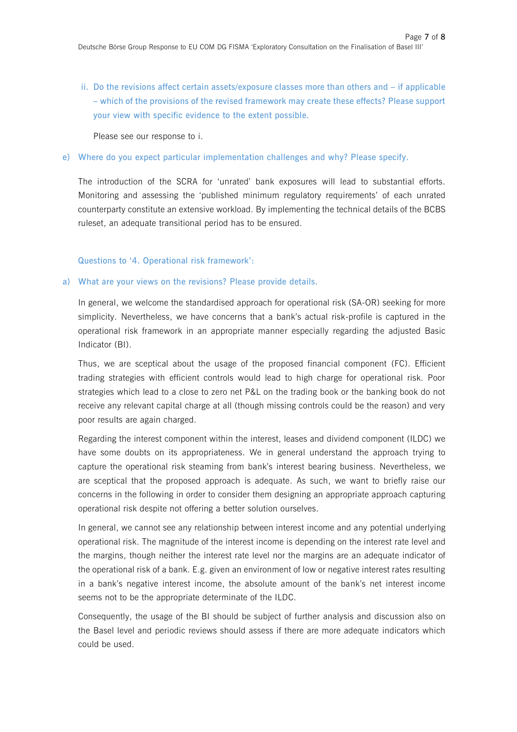**ii. Do the revisions affect certain assets/exposure classes more than others and – if applicable – which of the provisions of the revised framework may create these effects? Please support your view with specific evidence to the extent possible.**

Please see our response to i.

#### **e) Where do you expect particular implementation challenges and why? Please specify.**

The introduction of the SCRA for 'unrated' bank exposures will lead to substantial efforts. Monitoring and assessing the 'published minimum regulatory requirements' of each unrated counterparty constitute an extensive workload. By implementing the technical details of the BCBS ruleset, an adequate transitional period has to be ensured.

#### **Questions to '4. Operational risk framework':**

#### **a) What are your views on the revisions? Please provide details.**

In general, we welcome the standardised approach for operational risk (SA-OR) seeking for more simplicity. Nevertheless, we have concerns that a bank's actual risk-profile is captured in the operational risk framework in an appropriate manner especially regarding the adjusted Basic Indicator (BI).

Thus, we are sceptical about the usage of the proposed financial component (FC). Efficient trading strategies with efficient controls would lead to high charge for operational risk. Poor strategies which lead to a close to zero net P&L on the trading book or the banking book do not receive any relevant capital charge at all (though missing controls could be the reason) and very poor results are again charged.

Regarding the interest component within the interest, leases and dividend component (ILDC) we have some doubts on its appropriateness. We in general understand the approach trying to capture the operational risk steaming from bank's interest bearing business. Nevertheless, we are sceptical that the proposed approach is adequate. As such, we want to briefly raise our concerns in the following in order to consider them designing an appropriate approach capturing operational risk despite not offering a better solution ourselves.

In general, we cannot see any relationship between interest income and any potential underlying operational risk. The magnitude of the interest income is depending on the interest rate level and the margins, though neither the interest rate level nor the margins are an adequate indicator of the operational risk of a bank. E.g. given an environment of low or negative interest rates resulting in a bank's negative interest income, the absolute amount of the bank's net interest income seems not to be the appropriate determinate of the ILDC.

Consequently, the usage of the BI should be subject of further analysis and discussion also on the Basel level and periodic reviews should assess if there are more adequate indicators which could be used.